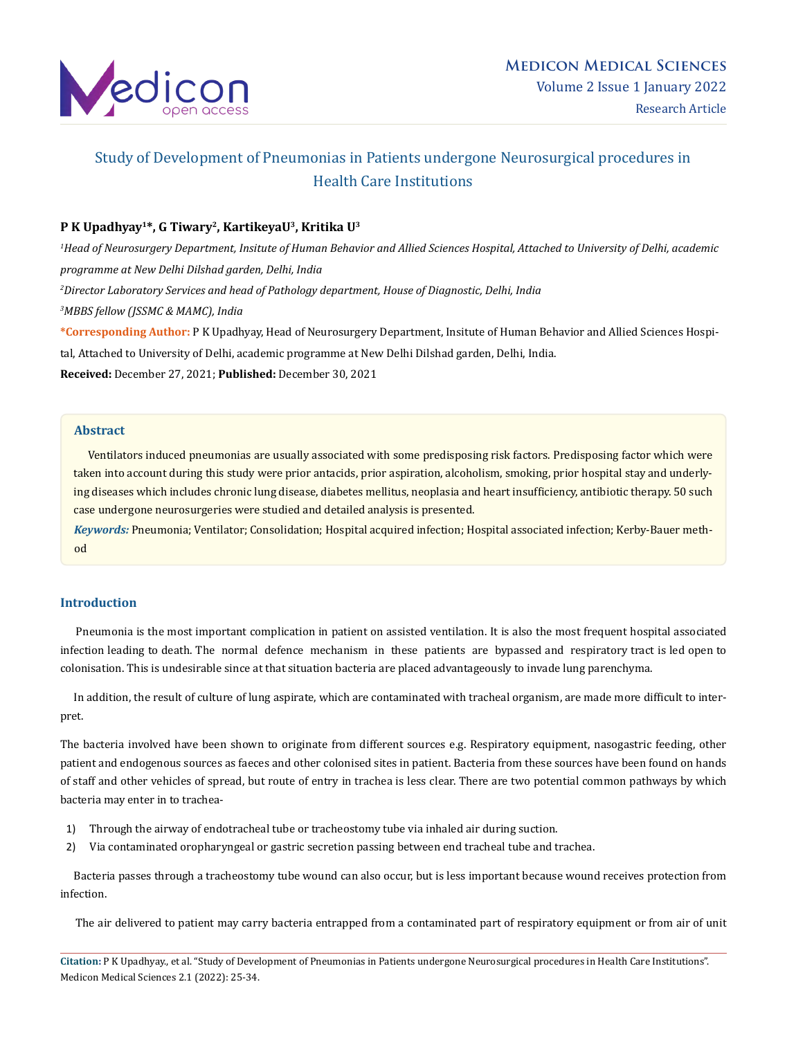

# Study of Development of Pneumonias in Patients undergone Neurosurgical procedures in Health Care Institutions

## **P K Upadhyay1\*, G Tiwary2, KartikeyaU3, Kritika U3**

 *Head of Neurosurgery Department, Insitute of Human Behavior and Allied Sciences Hospital, Attached to University of Delhi, academic programme at New Delhi Dilshad garden, Delhi, India Director Laboratory Services and head of Pathology department, House of Diagnostic, Delhi, India MBBS fellow (JSSMC & MAMC), India*

**\*Corresponding Author:** P K Upadhyay, Head of Neurosurgery Department, Insitute of Human Behavior and Allied Sciences Hospital, Attached to University of Delhi, academic programme at New Delhi Dilshad garden, Delhi, India.

**Received:** December 27, 2021; **Published:** December 30, 2021

## **Abstract**

 Ventilators induced pneumonias are usually associated with some predisposing risk factors. Predisposing factor which were taken into account during this study were prior antacids, prior aspiration, alcoholism, smoking, prior hospital stay and underlying diseases which includes chronic lung disease, diabetes mellitus, neoplasia and heart insufficiency, antibiotic therapy. 50 such case undergone neurosurgeries were studied and detailed analysis is presented.

*Keywords:* Pneumonia; Ventilator; Consolidation; Hospital acquired infection; Hospital associated infection; Kerby-Bauer method

## **Introduction**

 Pneumonia is the most important complication in patient on assisted ventilation. It is also the most frequent hospital associated infection leading to death. The normal defence mechanism in these patients are bypassed and respiratory tract is led open to colonisation. This is undesirable since at that situation bacteria are placed advantageously to invade lung parenchyma.

 In addition, the result of culture of lung aspirate, which are contaminated with tracheal organism, are made more difficult to interpret.

The bacteria involved have been shown to originate from different sources e.g. Respiratory equipment, nasogastric feeding, other patient and endogenous sources as faeces and other colonised sites in patient. Bacteria from these sources have been found on hands of staff and other vehicles of spread, but route of entry in trachea is less clear. There are two potential common pathways by which bacteria may enter in to trachea-

- 1) Through the airway of endotracheal tube or tracheostomy tube via inhaled air during suction.
- 2) Via contaminated oropharyngeal or gastric secretion passing between end tracheal tube and trachea.

 Bacteria passes through a tracheostomy tube wound can also occur, but is less important because wound receives protection from infection.

The air delivered to patient may carry bacteria entrapped from a contaminated part of respiratory equipment or from air of unit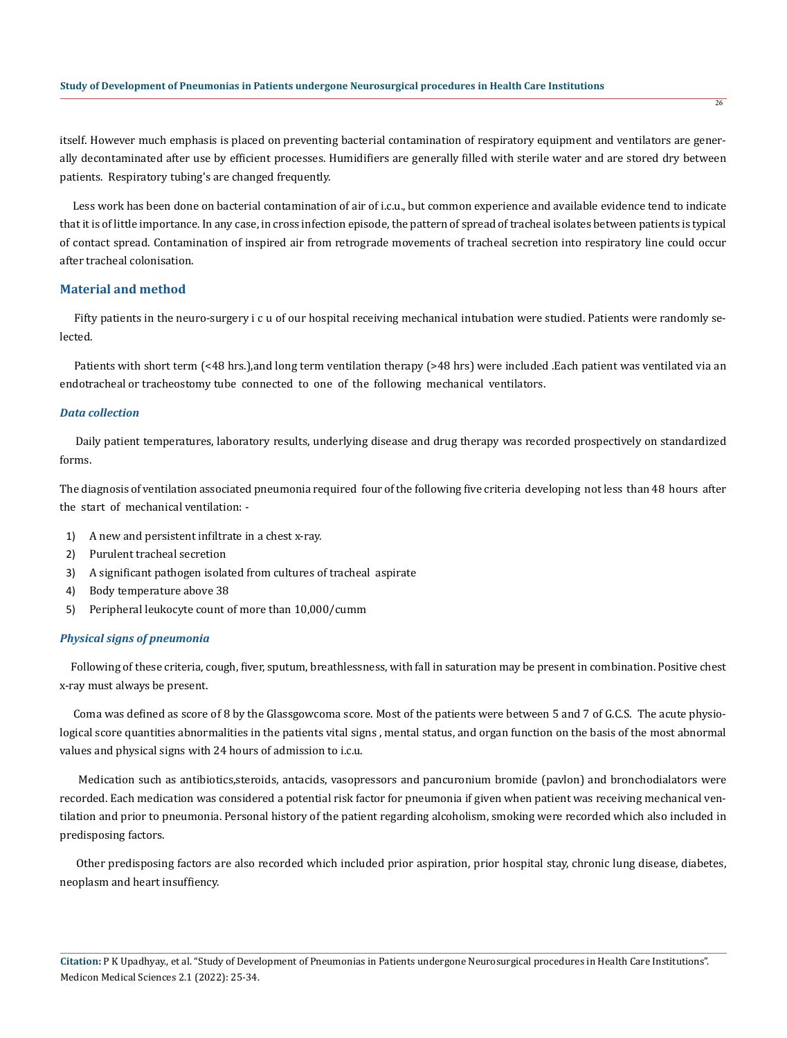itself. However much emphasis is placed on preventing bacterial contamination of respiratory equipment and ventilators are generally decontaminated after use by efficient processes. Humidifiers are generally filled with sterile water and are stored dry between patients. Respiratory tubing's are changed frequently.

 Less work has been done on bacterial contamination of air of i.c.u., but common experience and available evidence tend to indicate that it is of little importance. In any case, in cross infection episode, the pattern of spread of tracheal isolates between patients is typical of contact spread. Contamination of inspired air from retrograde movements of tracheal secretion into respiratory line could occur after tracheal colonisation.

## **Material and method**

 Fifty patients in the neuro-surgery i c u of our hospital receiving mechanical intubation were studied. Patients were randomly selected.

 Patients with short term (<48 hrs.),and long term ventilation therapy (>48 hrs) were included .Each patient was ventilated via an endotracheal or tracheostomy tube connected to one of the following mechanical ventilators.

#### *Data collection*

 Daily patient temperatures, laboratory results, underlying disease and drug therapy was recorded prospectively on standardized forms.

The diagnosis of ventilation associated pneumonia required four of the following five criteria developing not less than 48 hours after the start of mechanical ventilation: -

- 1) A new and persistent infiltrate in a chest x-ray.
- 2) Purulent tracheal secretion
- 3) A significant pathogen isolated from cultures of tracheal aspirate
- 4) Body temperature above 38
- 5) Peripheral leukocyte count of more than 10,000/cumm

#### *Physical signs of pneumonia*

 Following of these criteria, cough, fiver, sputum, breathlessness, with fall in saturation may be present in combination. Positive chest x-ray must always be present.

 Coma was defined as score of 8 by the Glassgowcoma score. Most of the patients were between 5 and 7 of G.C.S. The acute physiological score quantities abnormalities in the patients vital signs , mental status, and organ function on the basis of the most abnormal values and physical signs with 24 hours of admission to i.c.u.

 Medication such as antibiotics,steroids, antacids, vasopressors and pancuronium bromide (pavlon) and bronchodialators were recorded. Each medication was considered a potential risk factor for pneumonia if given when patient was receiving mechanical ventilation and prior to pneumonia. Personal history of the patient regarding alcoholism, smoking were recorded which also included in predisposing factors.

 Other predisposing factors are also recorded which included prior aspiration, prior hospital stay, chronic lung disease, diabetes, neoplasm and heart insuffiency.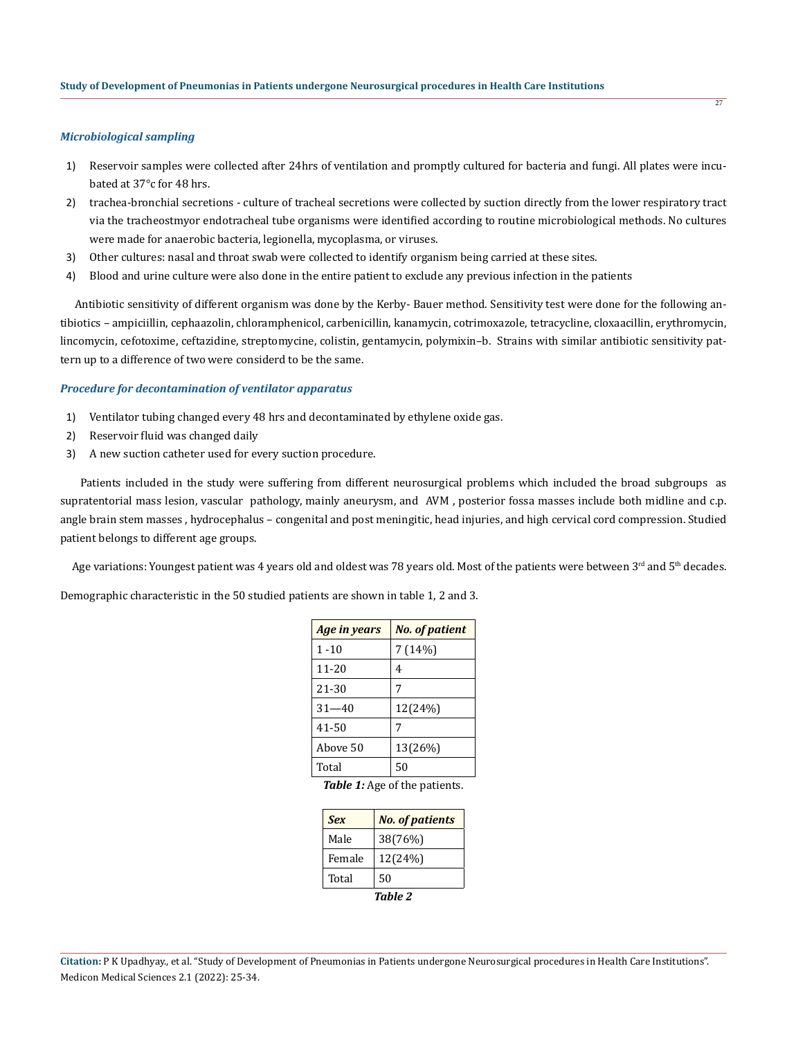#### *Microbiological sampling*

- 1) Reservoir samples were collected after 24hrs of ventilation and promptly cultured for bacteria and fungi. All plates were incubated at 37°c for 48 hrs.
- 2) trachea-bronchial secretions culture of tracheal secretions were collected by suction directly from the lower respiratory tract via the tracheostmyor endotracheal tube organisms were identified according to routine microbiological methods. No cultures were made for anaerobic bacteria, legionella, mycoplasma, or viruses.
- 3) Other cultures: nasal and throat swab were collected to identify organism being carried at these sites.
- 4) Blood and urine culture were also done in the entire patient to exclude any previous infection in the patients

 Antibiotic sensitivity of different organism was done by the Kerby- Bauer method. Sensitivity test were done for the following antibiotics – ampiciillin, cephaazolin, chloramphenicol, carbenicillin, kanamycin, cotrimoxazole, tetracycline, cloxaacillin, erythromycin, lincomycin, cefotoxime, ceftazidine, streptomycine, colistin, gentamycin, polymixin–b. Strains with similar antibiotic sensitivity pattern up to a difference of two were considerd to be the same.

### *Procedure for decontamination of ventilator apparatus*

- 1) Ventilator tubing changed every 48 hrs and decontaminated by ethylene oxide gas.
- 2) Reservoir fluid was changed daily
- 3) A new suction catheter used for every suction procedure.

 Patients included in the study were suffering from different neurosurgical problems which included the broad subgroups as supratentorial mass lesion, vascular pathology, mainly aneurysm, and AVM , posterior fossa masses include both midline and c.p. angle brain stem masses , hydrocephalus – congenital and post meningitic, head injuries, and high cervical cord compression. Studied patient belongs to different age groups.

Age variations: Youngest patient was 4 years old and oldest was 78 years old. Most of the patients were between 3<sup>rd</sup> and 5<sup>th</sup> decades.

Demographic characteristic in the 50 studied patients are shown in table 1, 2 and 3.

| Age in years | <b>No. of patient</b>              |
|--------------|------------------------------------|
| $1 - 10$     | 7(14%)                             |
| $11 - 20$    | 4                                  |
| 21-30        | 7                                  |
| $31 - 40$    | 12(24%)                            |
| 41-50        | 7                                  |
| Above 50     | 13(26%)                            |
| Total        | 50                                 |
|              | $T0$ bla 1. Ago of the position to |

*Table 1:* Age of the patients.

| <b>Sex</b> | <b>No. of patients</b> |  |
|------------|------------------------|--|
| Male       | 38(76%)                |  |
| Female     | 12(24%)                |  |
| Total      | 50                     |  |
|            |                        |  |

**Citation:** P K Upadhyay., et al. "Study of Development of Pneumonias in Patients undergone Neurosurgical procedures in Health Care Institutions". Medicon Medical Sciences 2.1 (2022): 25-34.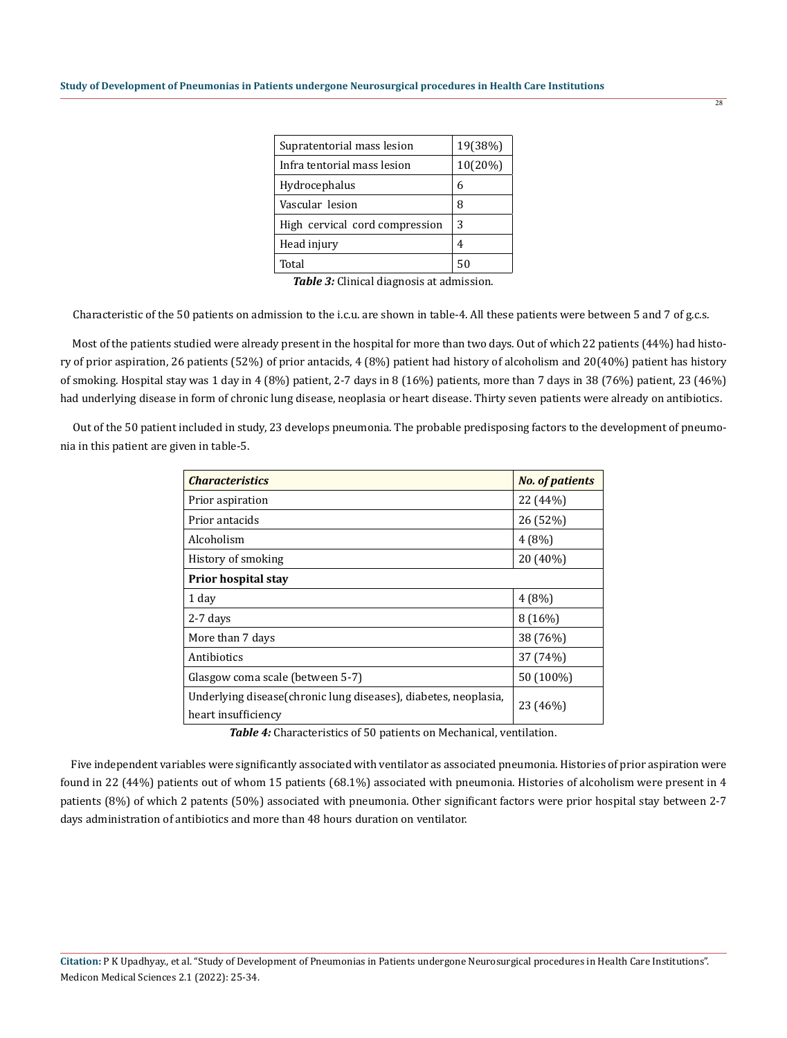| Supratentorial mass lesion     | 19(38%) |
|--------------------------------|---------|
| Infra tentorial mass lesion    | 10(20%) |
| Hydrocephalus                  | 6       |
| Vascular lesion                | 8       |
| High cervical cord compression | 3       |
| Head injury                    | 4       |
| Total                          | 50      |

*Table 3:* Clinical diagnosis at admission.

Characteristic of the 50 patients on admission to the i.c.u. are shown in table-4. All these patients were between 5 and 7 of g.c.s.

 Most of the patients studied were already present in the hospital for more than two days. Out of which 22 patients (44%) had history of prior aspiration, 26 patients (52%) of prior antacids, 4 (8%) patient had history of alcoholism and 20(40%) patient has history of smoking. Hospital stay was 1 day in 4 (8%) patient, 2-7 days in 8 (16%) patients, more than 7 days in 38 (76%) patient, 23 (46%) had underlying disease in form of chronic lung disease, neoplasia or heart disease. Thirty seven patients were already on antibiotics.

 Out of the 50 patient included in study, 23 develops pneumonia. The probable predisposing factors to the development of pneumonia in this patient are given in table-5.

| <b>Characteristics</b>                                                                  | <b>No. of patients</b> |  |
|-----------------------------------------------------------------------------------------|------------------------|--|
| Prior aspiration                                                                        | 22 (44%)               |  |
| Prior antacids                                                                          | 26 (52%)               |  |
| Alcoholism                                                                              | 4(8%)                  |  |
| History of smoking                                                                      | 20 (40%)               |  |
| <b>Prior hospital stay</b>                                                              |                        |  |
| 1 day                                                                                   | 4(8%)                  |  |
| $2-7$ days                                                                              | 8(16%)                 |  |
| More than 7 days                                                                        | 38 (76%)               |  |
| Antibiotics                                                                             | 37 (74%)               |  |
| Glasgow coma scale (between 5-7)                                                        | 50 (100%)              |  |
| Underlying disease (chronic lung diseases), diabetes, neoplasia,<br>heart insufficiency | 23 (46%)               |  |

*Table 4:* Characteristics of 50 patients on Mechanical, ventilation.

 Five independent variables were significantly associated with ventilator as associated pneumonia. Histories of prior aspiration were found in 22 (44%) patients out of whom 15 patients (68.1%) associated with pneumonia. Histories of alcoholism were present in 4 patients (8%) of which 2 patents (50%) associated with pneumonia. Other significant factors were prior hospital stay between 2-7 days administration of antibiotics and more than 48 hours duration on ventilator.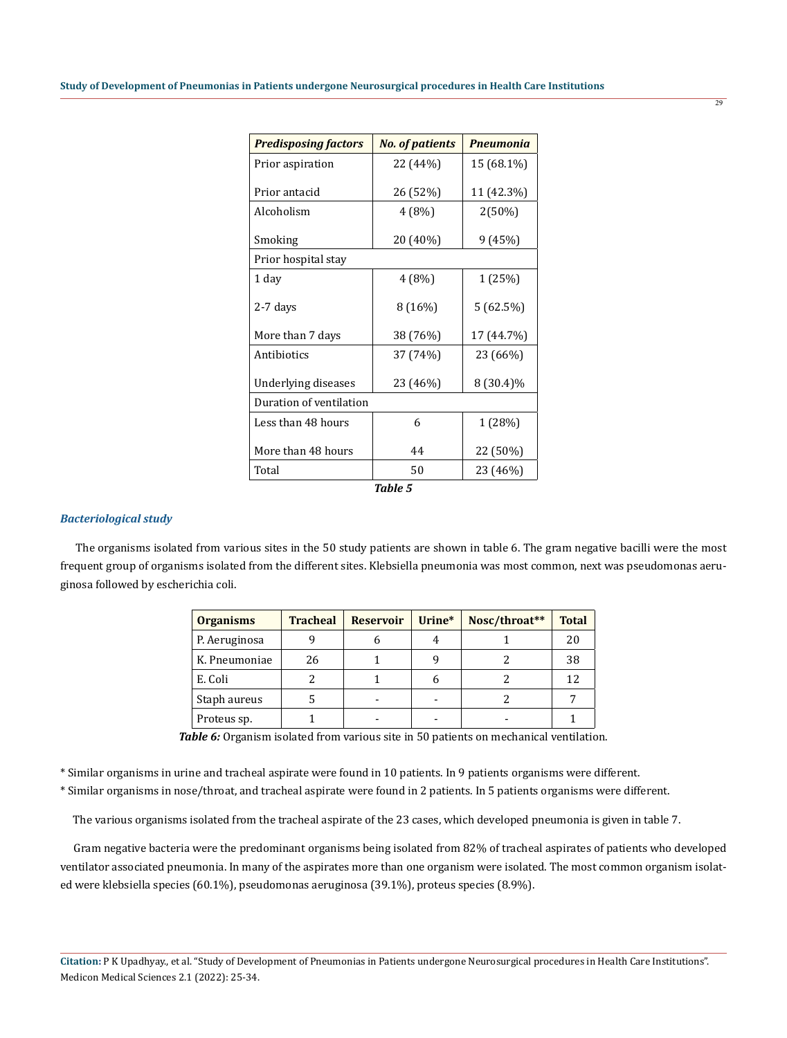| <b>Predisposing factors</b> | <b>No. of patients</b> | <b>Pneumonia</b> |  |
|-----------------------------|------------------------|------------------|--|
| Prior aspiration            | 22 (44%)               | 15 (68.1%)       |  |
| Prior antacid               | 26 (52%)               | 11 (42.3%)       |  |
| Alcoholism                  | 4(8%)                  | $2(50\%)$        |  |
| Smoking                     | 20 (40%)               | 9(45%)           |  |
| Prior hospital stay         |                        |                  |  |
| 1 day                       | 4(8%)                  | 1 (25%)          |  |
| 2-7 days                    | 8(16%)                 | 5 (62.5%)        |  |
| More than 7 days            | 38 (76%)               | 17 (44.7%)       |  |
| Antibiotics                 | 37 (74%)               | 23 (66%)         |  |
| Underlying diseases         | 23 (46%)               | 8 (30.4)%        |  |
| Duration of ventilation     |                        |                  |  |
| Less than 48 hours          | 6                      | 1 (28%)          |  |
| More than 48 hours          | 44                     | 22 (50%)         |  |
| Total                       | 50                     | 23 (46%)         |  |

#### *Table 5*

#### *Bacteriological study*

 The organisms isolated from various sites in the 50 study patients are shown in table 6. The gram negative bacilli were the most frequent group of organisms isolated from the different sites. Klebsiella pneumonia was most common, next was pseudomonas aeruginosa followed by escherichia coli.

| <b>Organisms</b> | <b>Tracheal</b> | <b>Reservoir</b> | Urine* | Nosc/throat** | <b>Total</b> |
|------------------|-----------------|------------------|--------|---------------|--------------|
| P. Aeruginosa    |                 | n                |        |               | 20           |
| K. Pneumoniae    | 26              |                  |        |               | 38           |
| E. Coli          |                 |                  |        |               | 12           |
| Staph aureus     |                 |                  |        |               |              |
| Proteus sp.      |                 |                  |        |               |              |

*Table 6:* Organism isolated from various site in 50 patients on mechanical ventilation.

\* Similar organisms in urine and tracheal aspirate were found in 10 patients. In 9 patients organisms were different.

\* Similar organisms in nose/throat, and tracheal aspirate were found in 2 patients. In 5 patients organisms were different.

The various organisms isolated from the tracheal aspirate of the 23 cases, which developed pneumonia is given in table 7.

 Gram negative bacteria were the predominant organisms being isolated from 82% of tracheal aspirates of patients who developed ventilator associated pneumonia. In many of the aspirates more than one organism were isolated. The most common organism isolated were klebsiella species (60.1%), pseudomonas aeruginosa (39.1%), proteus species (8.9%).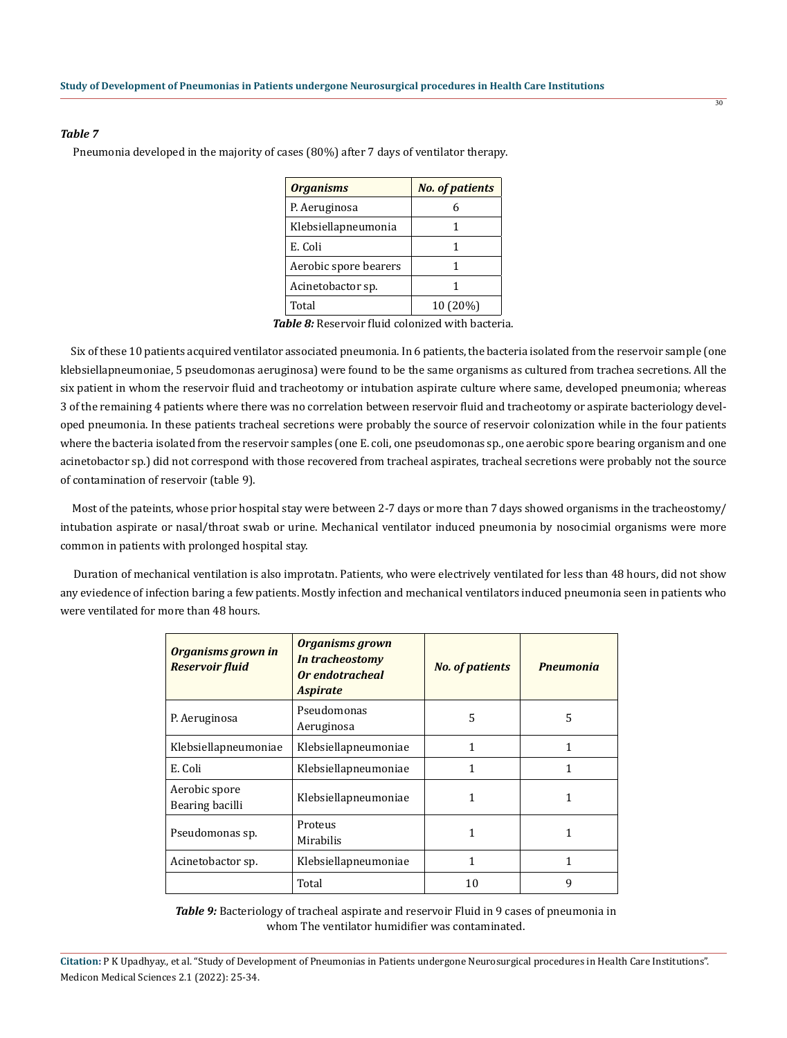#### *Table 7*

Pneumonia developed in the majority of cases (80%) after 7 days of ventilator therapy.

| <b>Organisms</b>      | <b>No. of patients</b> |
|-----------------------|------------------------|
| P. Aeruginosa         |                        |
| Klebsiellapneumonia   |                        |
| E. Coli               |                        |
| Aerobic spore bearers |                        |
| Acinetobactor sp.     |                        |
| Total                 | 10 (20%)               |

*Table 8:* Reservoir fluid colonized with bacteria.

 Six of these 10 patients acquired ventilator associated pneumonia. In 6 patients, the bacteria isolated from the reservoir sample (one klebsiellapneumoniae, 5 pseudomonas aeruginosa) were found to be the same organisms as cultured from trachea secretions. All the six patient in whom the reservoir fluid and tracheotomy or intubation aspirate culture where same, developed pneumonia; whereas 3 of the remaining 4 patients where there was no correlation between reservoir fluid and tracheotomy or aspirate bacteriology developed pneumonia. In these patients tracheal secretions were probably the source of reservoir colonization while in the four patients where the bacteria isolated from the reservoir samples (one E. coli, one pseudomonas sp., one aerobic spore bearing organism and one acinetobactor sp.) did not correspond with those recovered from tracheal aspirates, tracheal secretions were probably not the source of contamination of reservoir (table 9).

 Most of the pateints, whose prior hospital stay were between 2-7 days or more than 7 days showed organisms in the tracheostomy/ intubation aspirate or nasal/throat swab or urine. Mechanical ventilator induced pneumonia by nosocimial organisms were more common in patients with prolonged hospital stay.

 Duration of mechanical ventilation is also improtatn. Patients, who were electrively ventilated for less than 48 hours, did not show any eviedence of infection baring a few patients. Mostly infection and mechanical ventilators induced pneumonia seen in patients who were ventilated for more than 48 hours.

| <b>Organisms grown in</b><br><b>Reservoir fluid</b> | <b>Organisms grown</b><br>In tracheostomy<br>Or endotracheal<br><b>Aspirate</b> | <b>No. of patients</b> | <b>Pneumonia</b> |
|-----------------------------------------------------|---------------------------------------------------------------------------------|------------------------|------------------|
| P. Aeruginosa                                       | Pseudomonas<br>Aeruginosa                                                       | 5                      | 5                |
| Klebsiellapneumoniae                                | Klebsiellapneumoniae                                                            | 1                      | 1                |
| E. Coli                                             | Klebsiellapneumoniae                                                            | 1                      |                  |
| Aerobic spore<br>Bearing bacilli                    | Klebsiellapneumoniae                                                            | 1                      | 1                |
| Pseudomonas sp.                                     | Proteus<br>Mirabilis                                                            | 1                      |                  |
| Acinetobactor sp.                                   | Klebsiellapneumoniae                                                            | 1                      | 1                |
|                                                     | Total                                                                           | 10                     | 9                |

*Table 9:* Bacteriology of tracheal aspirate and reservoir Fluid in 9 cases of pneumonia in whom The ventilator humidifier was contaminated.

**Citation:** P K Upadhyay., et al. "Study of Development of Pneumonias in Patients undergone Neurosurgical procedures in Health Care Institutions". Medicon Medical Sciences 2.1 (2022): 25-34.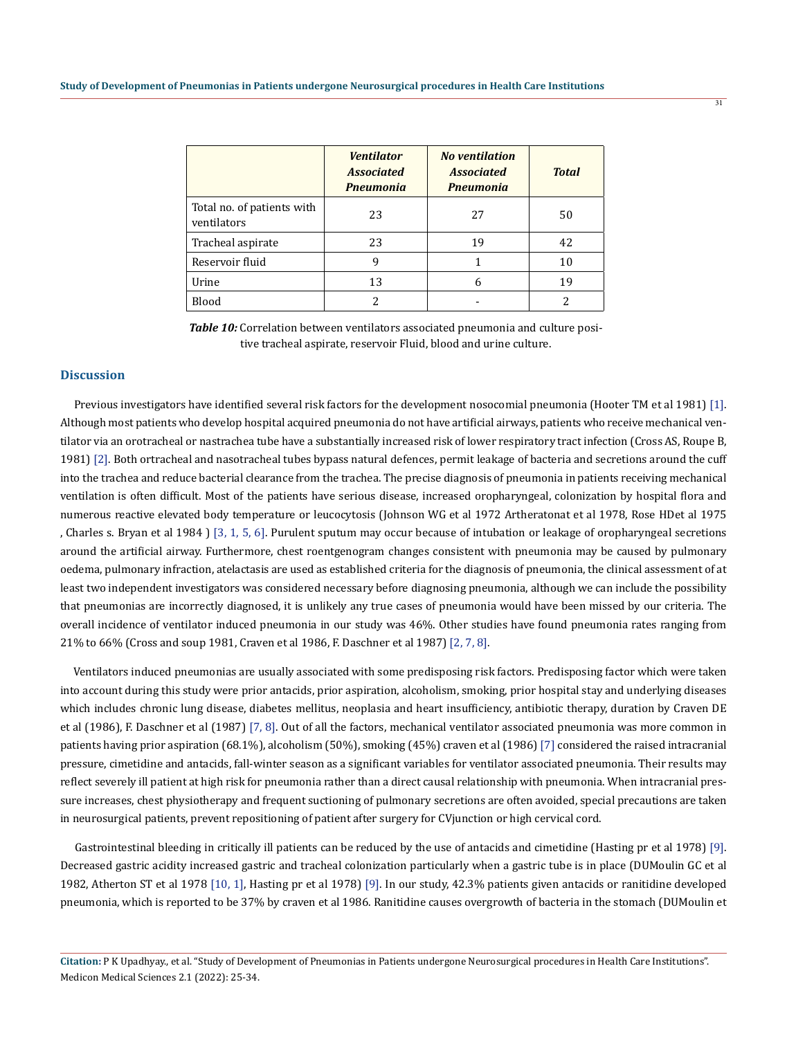|                                           | <b>Ventilator</b><br><b>Associated</b><br><b>Pneumonia</b> | <b>No ventilation</b><br><b>Associated</b><br><b>Pneumonia</b> | <b>Total</b> |
|-------------------------------------------|------------------------------------------------------------|----------------------------------------------------------------|--------------|
| Total no. of patients with<br>ventilators | 23                                                         | 27                                                             | 50           |
| Tracheal aspirate                         | 23                                                         | 19                                                             | 42           |
| Reservoir fluid                           | 9                                                          |                                                                | 10           |
| Urine                                     | 13                                                         | 6                                                              | 19           |
| Blood                                     |                                                            |                                                                |              |

*Table 10:* Correlation between ventilators associated pneumonia and culture positive tracheal aspirate, reservoir Fluid, blood and urine culture.

## **Discussion**

 Previous investigators have identified several risk factors for the development nosocomial pneumonia (Hooter TM et al 1981) [1]. Although most patients who develop hospital acquired pneumonia do not have artificial airways, patients who receive mechanical ventilator via an orotracheal or nastrachea tube have a substantially increased risk of lower respiratory tract infection (Cross AS, Roupe B, 1981) [2]. Both ortracheal and nasotracheal tubes bypass natural defences, permit leakage of bacteria and secretions around the cuff into the trachea and reduce bacterial clearance from the trachea. The precise diagnosis of pneumonia in patients receiving mechanical ventilation is often difficult. Most of the patients have serious disease, increased oropharyngeal, colonization by hospital flora and numerous reactive elevated body temperature or leucocytosis (Johnson WG et al 1972 Artheratonat et al 1978, Rose HDet al 1975 , Charles s. Bryan et al 1984 ) [3, 1, 5, 6]. Purulent sputum may occur because of intubation or leakage of oropharyngeal secretions around the artificial airway. Furthermore, chest roentgenogram changes consistent with pneumonia may be caused by pulmonary oedema, pulmonary infraction, atelactasis are used as established criteria for the diagnosis of pneumonia, the clinical assessment of at least two independent investigators was considered necessary before diagnosing pneumonia, although we can include the possibility that pneumonias are incorrectly diagnosed, it is unlikely any true cases of pneumonia would have been missed by our criteria. The overall incidence of ventilator induced pneumonia in our study was 46%. Other studies have found pneumonia rates ranging from 21% to 66% (Cross and soup 1981, Craven et al 1986, F. Daschner et al 1987) [2, 7, 8].

 Ventilators induced pneumonias are usually associated with some predisposing risk factors. Predisposing factor which were taken into account during this study were prior antacids, prior aspiration, alcoholism, smoking, prior hospital stay and underlying diseases which includes chronic lung disease, diabetes mellitus, neoplasia and heart insufficiency, antibiotic therapy, duration by Craven DE et al (1986), F. Daschner et al (1987) [7, 8]. Out of all the factors, mechanical ventilator associated pneumonia was more common in patients having prior aspiration (68.1%), alcoholism (50%), smoking (45%) craven et al (1986) [7] considered the raised intracranial pressure, cimetidine and antacids, fall-winter season as a significant variables for ventilator associated pneumonia. Their results may reflect severely ill patient at high risk for pneumonia rather than a direct causal relationship with pneumonia. When intracranial pressure increases, chest physiotherapy and frequent suctioning of pulmonary secretions are often avoided, special precautions are taken in neurosurgical patients, prevent repositioning of patient after surgery for CVjunction or high cervical cord.

 Gastrointestinal bleeding in critically ill patients can be reduced by the use of antacids and cimetidine (Hasting pr et al 1978) [9]. Decreased gastric acidity increased gastric and tracheal colonization particularly when a gastric tube is in place (DUMoulin GC et al 1982, Atherton ST et al 1978 [10, 1], Hasting pr et al 1978) [9]. In our study, 42.3% patients given antacids or ranitidine developed pneumonia, which is reported to be 37% by craven et al 1986. Ranitidine causes overgrowth of bacteria in the stomach (DUMoulin et

**Citation:** P K Upadhyay., et al. "Study of Development of Pneumonias in Patients undergone Neurosurgical procedures in Health Care Institutions". Medicon Medical Sciences 2.1 (2022): 25-34.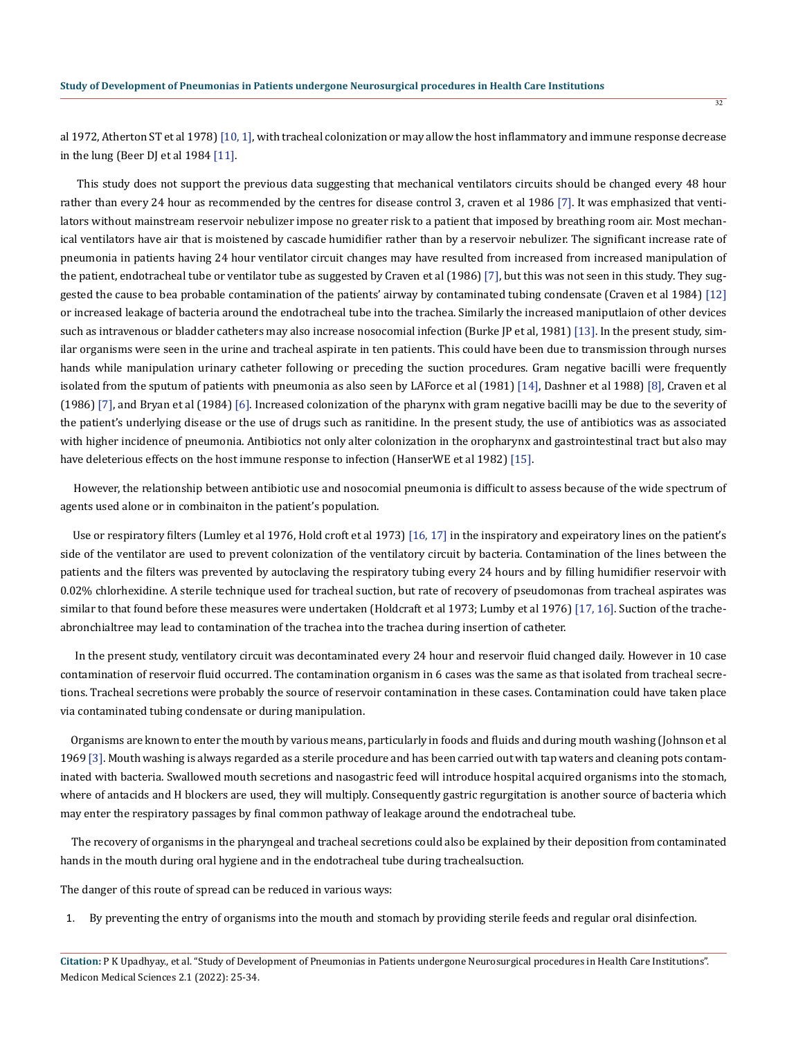al 1972, Atherton ST et al 1978) [10, 1], with tracheal colonization or may allow the host inflammatory and immune response decrease in the lung (Beer DJ et al 1984 [11].

 This study does not support the previous data suggesting that mechanical ventilators circuits should be changed every 48 hour rather than every 24 hour as recommended by the centres for disease control 3, craven et al 1986 [7]. It was emphasized that ventilators without mainstream reservoir nebulizer impose no greater risk to a patient that imposed by breathing room air. Most mechanical ventilators have air that is moistened by cascade humidifier rather than by a reservoir nebulizer. The significant increase rate of pneumonia in patients having 24 hour ventilator circuit changes may have resulted from increased from increased manipulation of the patient, endotracheal tube or ventilator tube as suggested by Craven et al (1986) [7], but this was not seen in this study. They suggested the cause to bea probable contamination of the patients' airway by contaminated tubing condensate (Craven et al 1984) [12] or increased leakage of bacteria around the endotracheal tube into the trachea. Similarly the increased maniputlaion of other devices such as intravenous or bladder catheters may also increase nosocomial infection (Burke JP et al, 1981) [13]. In the present study, similar organisms were seen in the urine and tracheal aspirate in ten patients. This could have been due to transmission through nurses hands while manipulation urinary catheter following or preceding the suction procedures. Gram negative bacilli were frequently isolated from the sputum of patients with pneumonia as also seen by LAForce et al (1981) [14], Dashner et al 1988) [8], Craven et al (1986) [7], and Bryan et al (1984) [6]. Increased colonization of the pharynx with gram negative bacilli may be due to the severity of the patient's underlying disease or the use of drugs such as ranitidine. In the present study, the use of antibiotics was as associated with higher incidence of pneumonia. Antibiotics not only alter colonization in the oropharynx and gastrointestinal tract but also may have deleterious effects on the host immune response to infection (HanserWE et al 1982) [15].

 However, the relationship between antibiotic use and nosocomial pneumonia is difficult to assess because of the wide spectrum of agents used alone or in combinaiton in the patient's population.

 Use or respiratory filters (Lumley et al 1976, Hold croft et al 1973) [16, 17] in the inspiratory and expeiratory lines on the patient's side of the ventilator are used to prevent colonization of the ventilatory circuit by bacteria. Contamination of the lines between the patients and the filters was prevented by autoclaving the respiratory tubing every 24 hours and by filling humidifier reservoir with 0.02% chlorhexidine. A sterile technique used for tracheal suction, but rate of recovery of pseudomonas from tracheal aspirates was similar to that found before these measures were undertaken (Holdcraft et al 1973; Lumby et al 1976) [17, 16]. Suction of the tracheabronchialtree may lead to contamination of the trachea into the trachea during insertion of catheter.

 In the present study, ventilatory circuit was decontaminated every 24 hour and reservoir fluid changed daily. However in 10 case contamination of reservoir fluid occurred. The contamination organism in 6 cases was the same as that isolated from tracheal secretions. Tracheal secretions were probably the source of reservoir contamination in these cases. Contamination could have taken place via contaminated tubing condensate or during manipulation.

 Organisms are known to enter the mouth by various means, particularly in foods and fluids and during mouth washing (Johnson et al 1969 [3]. Mouth washing is always regarded as a sterile procedure and has been carried out with tap waters and cleaning pots contaminated with bacteria. Swallowed mouth secretions and nasogastric feed will introduce hospital acquired organisms into the stomach, where of antacids and H blockers are used, they will multiply. Consequently gastric regurgitation is another source of bacteria which may enter the respiratory passages by final common pathway of leakage around the endotracheal tube.

 The recovery of organisms in the pharyngeal and tracheal secretions could also be explained by their deposition from contaminated hands in the mouth during oral hygiene and in the endotracheal tube during trachealsuction.

The danger of this route of spread can be reduced in various ways:

1. By preventing the entry of organisms into the mouth and stomach by providing sterile feeds and regular oral disinfection.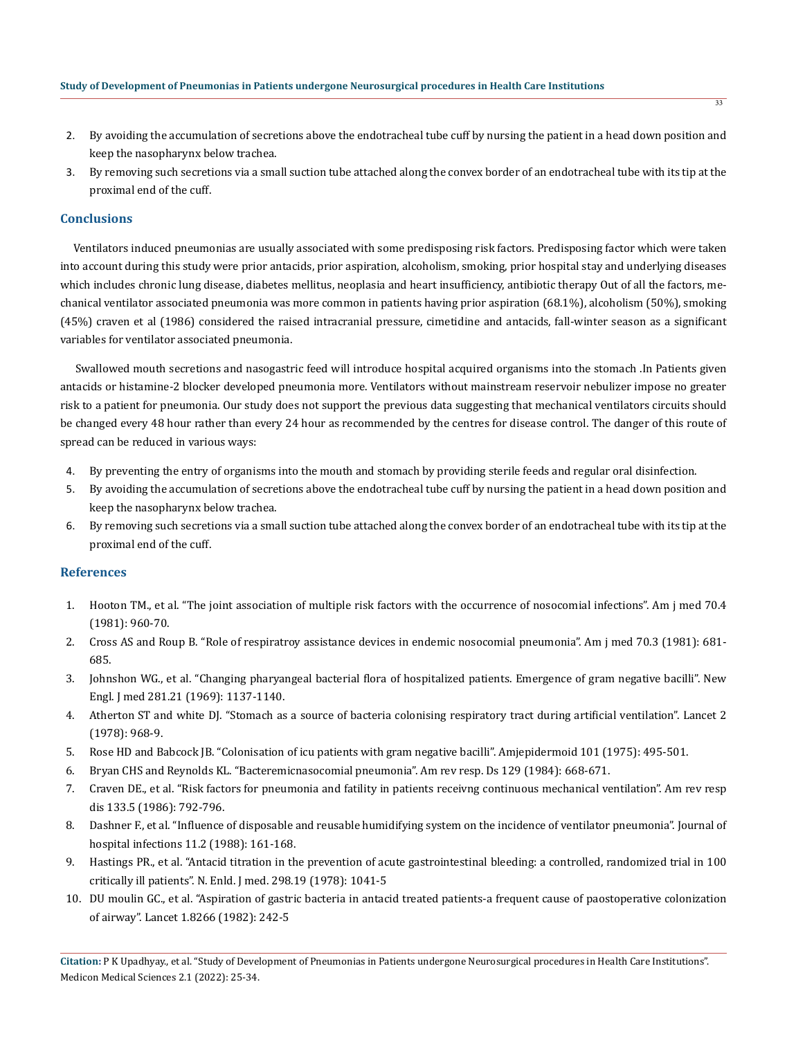- 2. By avoiding the accumulation of secretions above the endotracheal tube cuff by nursing the patient in a head down position and keep the nasopharynx below trachea.
- 3. By removing such secretions via a small suction tube attached along the convex border of an endotracheal tube with its tip at the proximal end of the cuff.

## **Conclusions**

 Ventilators induced pneumonias are usually associated with some predisposing risk factors. Predisposing factor which were taken into account during this study were prior antacids, prior aspiration, alcoholism, smoking, prior hospital stay and underlying diseases which includes chronic lung disease, diabetes mellitus, neoplasia and heart insufficiency, antibiotic therapy Out of all the factors, mechanical ventilator associated pneumonia was more common in patients having prior aspiration (68.1%), alcoholism (50%), smoking (45%) craven et al (1986) considered the raised intracranial pressure, cimetidine and antacids, fall-winter season as a significant variables for ventilator associated pneumonia.

 Swallowed mouth secretions and nasogastric feed will introduce hospital acquired organisms into the stomach .In Patients given antacids or histamine-2 blocker developed pneumonia more. Ventilators without mainstream reservoir nebulizer impose no greater risk to a patient for pneumonia. Our study does not support the previous data suggesting that mechanical ventilators circuits should be changed every 48 hour rather than every 24 hour as recommended by the centres for disease control. The danger of this route of spread can be reduced in various ways:

- 4. By preventing the entry of organisms into the mouth and stomach by providing sterile feeds and regular oral disinfection.
- 5. By avoiding the accumulation of secretions above the endotracheal tube cuff by nursing the patient in a head down position and keep the nasopharynx below trachea.
- 6. By removing such secretions via a small suction tube attached along the convex border of an endotracheal tube with its tip at the proximal end of the cuff.

### **References**

- 1. [Hooton TM., et al. "The joint association of multiple risk factors with the occurrence of nosocomial infections". Am j med 70.4](https://pubmed.ncbi.nlm.nih.gov/7211932/) [\(1981\): 960-70.](https://pubmed.ncbi.nlm.nih.gov/7211932/)
- 2. [Cross AS and Roup B. "Role of respiratroy assistance devices in endemic nosocomial pneumonia". Am j med 70.3 \(1981\): 681-](https://pubmed.ncbi.nlm.nih.gov/6938128/) [685.](https://pubmed.ncbi.nlm.nih.gov/6938128/)
- 3. [Johnshon WG., et al. "Changing pharyangeal bacterial flora of hospitalized patients. Emergence of gram negative bacilli". New](https://pubmed.ncbi.nlm.nih.gov/4899868/) [Engl. J med 281.21 \(1969\): 1137-1140.](https://pubmed.ncbi.nlm.nih.gov/4899868/)
- 4. [Atherton ST and white DJ. "Stomach as a source of bacteria colonising respiratory tract during artificial ventilation". Lancet 2](https://pubmed.ncbi.nlm.nih.gov/81991/) [\(1978\): 968-9.](https://pubmed.ncbi.nlm.nih.gov/81991/)
- 5. Rose HD and Babcock JB. "Colonisation of icu patients with gram negative bacilli". Amjepidermoid 101 (1975): 495-501.
- 6. Bryan CHS and Reynolds KL. "Bacteremicnasocomial pneumonia". Am rev resp. Ds 129 (1984): 668-671.
- 7. [Craven DE., et al. "Risk factors for pneumonia and fatility in patients receivng continuous mechanical ventilation". Am rev resp](https://pubmed.ncbi.nlm.nih.gov/3706887/) [dis 133.5 \(1986\): 792-796.](https://pubmed.ncbi.nlm.nih.gov/3706887/)
- 8. [Dashner F., et al. "Influence of disposable and reusable humidifying system on the incidence of ventilator pneumonia". Journal of](https://pubmed.ncbi.nlm.nih.gov/2896685/) [hospital infections 11.2 \(1988\): 161-168.](https://pubmed.ncbi.nlm.nih.gov/2896685/)
- 9. [Hastings PR., et al. "Antacid titration in the prevention of acute gastrointestinal bleeding: a controlled, randomized trial in 100](https://pubmed.ncbi.nlm.nih.gov/25384/) [critically ill patients". N. Enld. J med. 298.19 \(1978\): 1041-5](https://pubmed.ncbi.nlm.nih.gov/25384/)
- 10. [DU moulin GC., et al. "Aspiration of gastric bacteria in antacid treated patients-a frequent cause of paostoperative colonization](https://pubmed.ncbi.nlm.nih.gov/6120273/) [of airway". Lancet 1.8266 \(1982\): 242-5](https://pubmed.ncbi.nlm.nih.gov/6120273/)